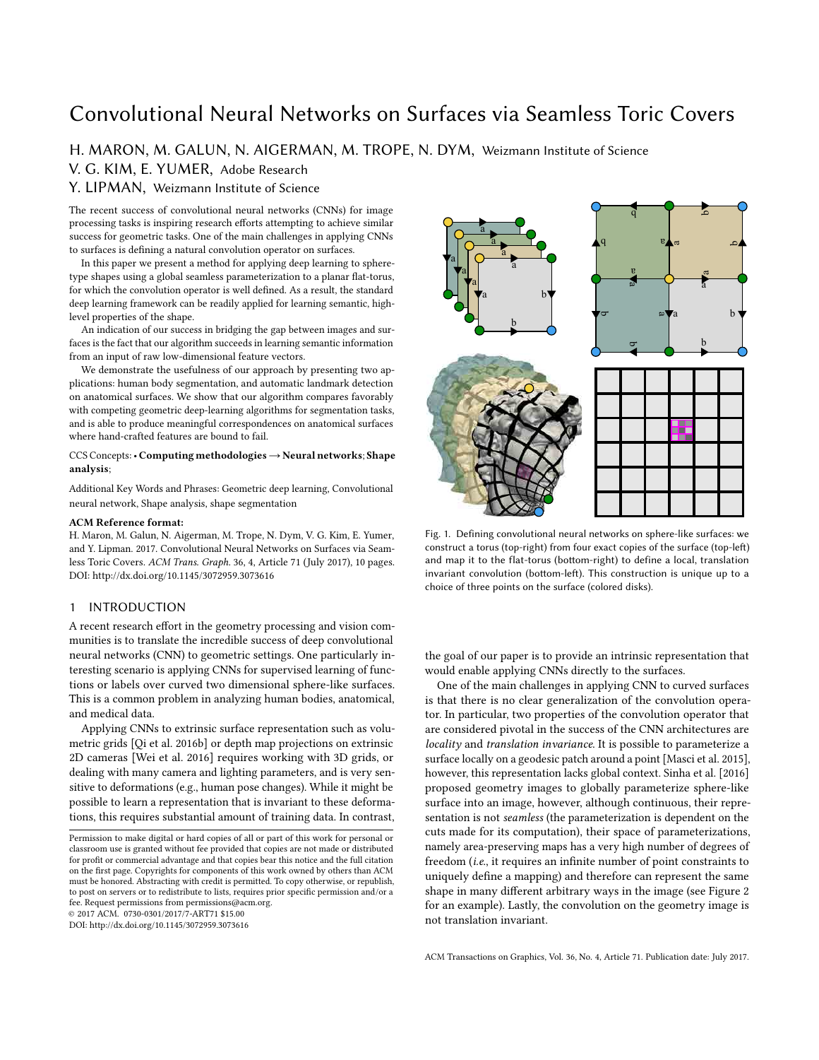# Convolutional Neural Networks on Surfaces via Seamless Toric Covers

## H. MARON, M. GALUN, N. AIGERMAN, M. TROPE, N. DYM, Weizmann Institute of Science V. G. KIM, E. YUMER, Adobe Research

Y. LIPMAN, Weizmann Institute of Science

The recent success of convolutional neural networks (CNNs) for image processing tasks is inspiring research efforts attempting to achieve similar success for geometric tasks. One of the main challenges in applying CNNs to surfaces is defining a natural convolution operator on surfaces.

In this paper we present a method for applying deep learning to spheretype shapes using a global seamless parameterization to a planar flat-torus, for which the convolution operator is well defined. As a result, the standard deep learning framework can be readily applied for learning semantic, highlevel properties of the shape.

An indication of our success in bridging the gap between images and surfaces is the fact that our algorithm succeeds in learning semantic information from an input of raw low-dimensional feature vectors.

We demonstrate the usefulness of our approach by presenting two applications: human body segmentation, and automatic landmark detection on anatomical surfaces. We show that our algorithm compares favorably with competing geometric deep-learning algorithms for segmentation tasks, and is able to produce meaningful correspondences on anatomical surfaces where hand-crafted features are bound to fail.

## CCS Concepts:• Computing methodologies→Neural networks; Shape analysis;

Additional Key Words and Phrases: Geometric deep learning, Convolutional neural network, Shape analysis, shape segmentation

#### ACM Reference format:

H. Maron, M. Galun, N. Aigerman, M. Trope, N. Dym, V. G. Kim, E. Yumer, and Y. Lipman. 2017. Convolutional Neural Networks on Surfaces via Seamless Toric Covers. ACM Trans. Graph. 36, 4, Article 71 (July 2017), 10 pages. DOI: http://dx.doi.org/10.1145/3072959.3073616

## 1 INTRODUCTION

A recent research effort in the geometry processing and vision communities is to translate the incredible success of deep convolutional neural networks (CNN) to geometric settings. One particularly interesting scenario is applying CNNs for supervised learning of functions or labels over curved two dimensional sphere-like surfaces. This is a common problem in analyzing human bodies, anatomical, and medical data.

Applying CNNs to extrinsic surface representation such as volumetric grids [Qi et al. 2016b] or depth map projections on extrinsic 2D cameras [Wei et al. 2016] requires working with 3D grids, or dealing with many camera and lighting parameters, and is very sensitive to deformations (e.g., human pose changes). While it might be possible to learn a representation that is invariant to these deformations, this requires substantial amount of training data. In contrast,

© 2017 ACM. 0730-0301/2017/7-ART71 \$15.00

DOI: http://dx.doi.org/10.1145/3072959.3073616



Fig. 1. Defining convolutional neural networks on sphere-like surfaces: we construct a torus (top-right) from four exact copies of the surface (top-left) and map it to the flat-torus (bottom-right) to define a local, translation invariant convolution (bottom-left). This construction is unique up to a choice of three points on the surface (colored disks).

the goal of our paper is to provide an intrinsic representation that would enable applying CNNs directly to the surfaces.

One of the main challenges in applying CNN to curved surfaces is that there is no clear generalization of the convolution operator. In particular, two properties of the convolution operator that are considered pivotal in the success of the CNN architectures are locality and translation invariance. It is possible to parameterize a surface locally on a geodesic patch around a point [Masci et al. 2015], however, this representation lacks global context. Sinha et al. [2016] proposed geometry images to globally parameterize sphere-like surface into an image, however, although continuous, their representation is not seamless (the parameterization is dependent on the cuts made for its computation), their space of parameterizations, namely area-preserving maps has a very high number of degrees of freedom (i.e., it requires an infinite number of point constraints to uniquely define a mapping) and therefore can represent the same shape in many different arbitrary ways in the image (see Figure 2 for an example). Lastly, the convolution on the geometry image is not translation invariant.

Permission to make digital or hard copies of all or part of this work for personal or classroom use is granted without fee provided that copies are not made or distributed for profit or commercial advantage and that copies bear this notice and the full citation on the first page. Copyrights for components of this work owned by others than ACM must be honored. Abstracting with credit is permitted. To copy otherwise, or republish, to post on servers or to redistribute to lists, requires prior specific permission and/or a fee. Request permissions from permissions@acm.org.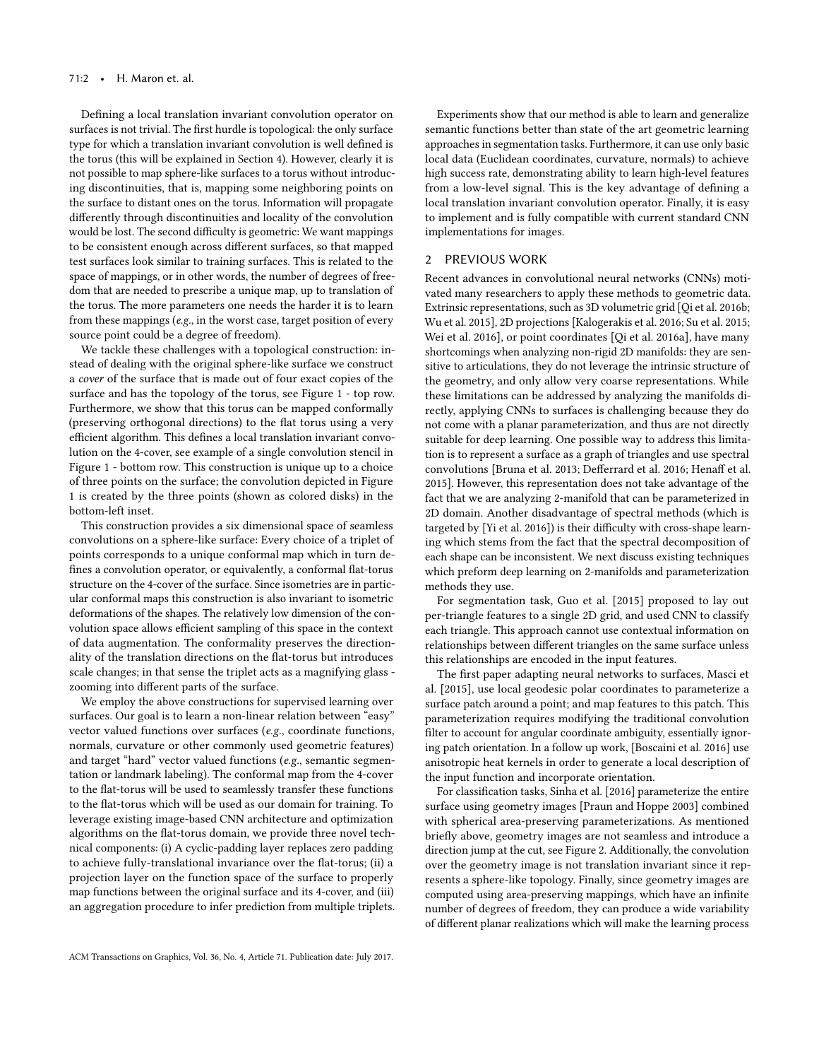Defining a local translation invariant convolution operator on surfaces is not trivial. The first hurdle is topological: the only surface type for which a translation invariant convolution is well defined is the torus (this will be explained in Section 4). However, clearly it is not possible to map sphere-like surfaces to a torus without introducing discontinuities, that is, mapping some neighboring points on the surface to distant ones on the torus. Information will propagate differently through discontinuities and locality of the convolution would be lost. The second difficulty is geometric: We want mappings to be consistent enough across different surfaces, so that mapped test surfaces look similar to training surfaces. This is related to the space of mappings, or in other words, the number of degrees of freedom that are needed to prescribe a unique map, up to translation of the torus. The more parameters one needs the harder it is to learn from these mappings (e.g., in the worst case, target position of every source point could be a degree of freedom).

We tackle these challenges with a topological construction: instead of dealing with the original sphere-like surface we construct a cover of the surface that is made out of four exact copies of the surface and has the topology of the torus, see Figure 1 - top row. Furthermore, we show that this torus can be mapped conformally (preserving orthogonal directions) to the flat torus using a very efficient algorithm. This defines a local translation invariant convolution on the 4-cover, see example of a single convolution stencil in Figure 1 - bottom row. This construction is unique up to a choice of three points on the surface; the convolution depicted in Figure 1 is created by the three points (shown as colored disks) in the bottom-left inset.

This construction provides a six dimensional space of seamless convolutions on a sphere-like surface: Every choice of a triplet of points corresponds to a unique conformal map which in turn defines a convolution operator, or equivalently, a conformal flat-torus structure on the 4-cover of the surface. Since isometries are in particular conformal maps this construction is also invariant to isometric deformations of the shapes. The relatively low dimension of the convolution space allows efficient sampling of this space in the context of data augmentation. The conformality preserves the directionality of the translation directions on the flat-torus but introduces scale changes; in that sense the triplet acts as a magnifying glass zooming into different parts of the surface.

We employ the above constructions for supervised learning over surfaces. Our goal is to learn a non-linear relation between "easy" vector valued functions over surfaces (e.g., coordinate functions, normals, curvature or other commonly used geometric features) and target "hard" vector valued functions (e.g., semantic segmentation or landmark labeling). The conformal map from the 4-cover to the flat-torus will be used to seamlessly transfer these functions to the flat-torus which will be used as our domain for training. To leverage existing image-based CNN architecture and optimization algorithms on the flat-torus domain, we provide three novel technical components: (i) A cyclic-padding layer replaces zero padding to achieve fully-translational invariance over the flat-torus; (ii) a projection layer on the function space of the surface to properly map functions between the original surface and its 4-cover, and (iii) an aggregation procedure to infer prediction from multiple triplets.

Experiments show that our method is able to learn and generalize semantic functions better than state of the art geometric learning approaches in segmentation tasks. Furthermore, it can use only basic local data (Euclidean coordinates, curvature, normals) to achieve high success rate, demonstrating ability to learn high-level features from a low-level signal. This is the key advantage of defining a local translation invariant convolution operator. Finally, it is easy to implement and is fully compatible with current standard CNN implementations for images.

## 2 PREVIOUS WORK

Recent advances in convolutional neural networks (CNNs) motivated many researchers to apply these methods to geometric data. Extrinsic representations, such as 3D volumetric grid [Qi et al. 2016b; Wu et al. 2015], 2D projections [Kalogerakis et al. 2016; Su et al. 2015; Wei et al. 2016], or point coordinates [Qi et al. 2016a], have many shortcomings when analyzing non-rigid 2D manifolds: they are sensitive to articulations, they do not leverage the intrinsic structure of the geometry, and only allow very coarse representations. While these limitations can be addressed by analyzing the manifolds directly, applying CNNs to surfaces is challenging because they do not come with a planar parameterization, and thus are not directly suitable for deep learning. One possible way to address this limitation is to represent a surface as a graph of triangles and use spectral convolutions [Bruna et al. 2013; Defferrard et al. 2016; Henaff et al. 2015]. However, this representation does not take advantage of the fact that we are analyzing 2-manifold that can be parameterized in 2D domain. Another disadvantage of spectral methods (which is targeted by [Yi et al. 2016]) is their difficulty with cross-shape learning which stems from the fact that the spectral decomposition of each shape can be inconsistent. We next discuss existing techniques which preform deep learning on 2-manifolds and parameterization methods they use.

For segmentation task, Guo et al. [2015] proposed to lay out per-triangle features to a single 2D grid, and used CNN to classify each triangle. This approach cannot use contextual information on relationships between different triangles on the same surface unless this relationships are encoded in the input features.

The first paper adapting neural networks to surfaces, Masci et al. [2015], use local geodesic polar coordinates to parameterize a surface patch around a point; and map features to this patch. This parameterization requires modifying the traditional convolution filter to account for angular coordinate ambiguity, essentially ignoring patch orientation. In a follow up work, [Boscaini et al. 2016] use anisotropic heat kernels in order to generate a local description of the input function and incorporate orientation.

For classification tasks, Sinha et al. [2016] parameterize the entire surface using geometry images [Praun and Hoppe 2003] combined with spherical area-preserving parameterizations. As mentioned briefly above, geometry images are not seamless and introduce a direction jump at the cut, see Figure 2. Additionally, the convolution over the geometry image is not translation invariant since it represents a sphere-like topology. Finally, since geometry images are computed using area-preserving mappings, which have an infinite number of degrees of freedom, they can produce a wide variability of different planar realizations which will make the learning process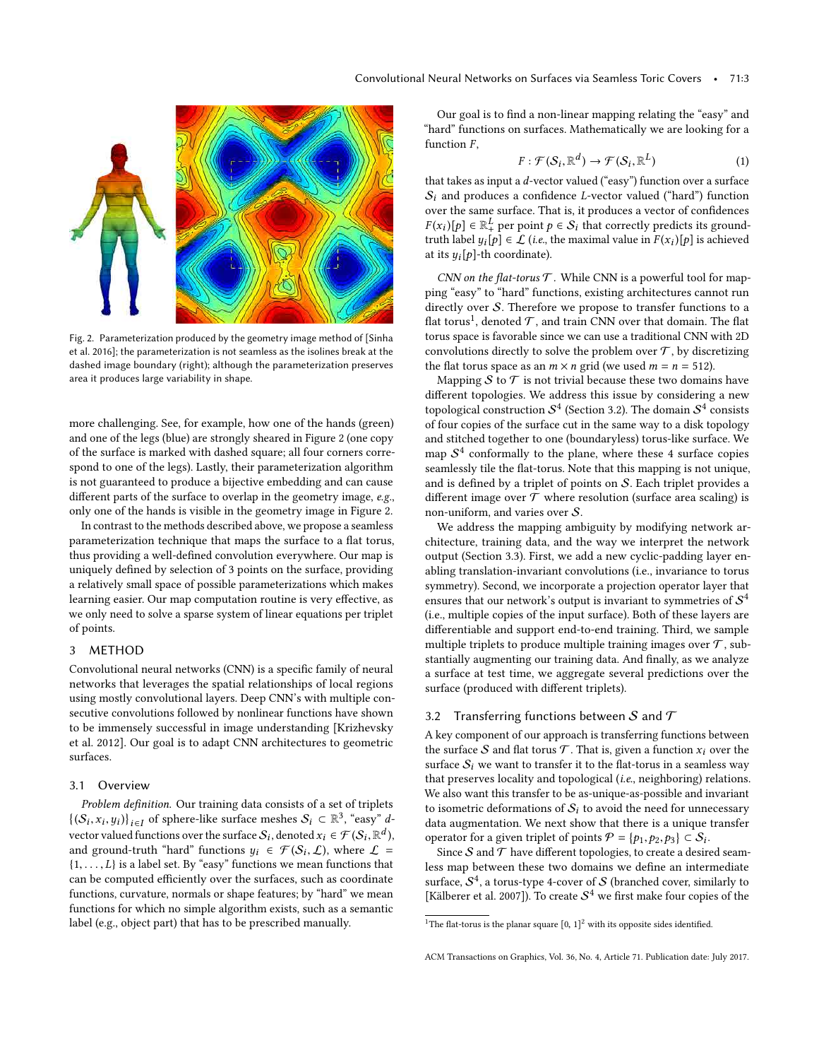

Fig. 2. Parameterization produced by the geometry image method of [Sinha et al. 2016]; the parameterization is not seamless as the isolines break at the dashed image boundary (right); although the parameterization preserves area it produces large variability in shape.

more challenging. See, for example, how one of the hands (green) and one of the legs (blue) are strongly sheared in Figure 2 (one copy of the surface is marked with dashed square; all four corners correspond to one of the legs). Lastly, their parameterization algorithm is not guaranteed to produce a bijective embedding and can cause different parts of the surface to overlap in the geometry image, e.g., only one of the hands is visible in the geometry image in Figure 2.

In contrast to the methods described above, we propose a seamless parameterization technique that maps the surface to a flat torus, thus providing a well-defined convolution everywhere. Our map is uniquely defined by selection of 3 points on the surface, providing a relatively small space of possible parameterizations which makes learning easier. Our map computation routine is very effective, as we only need to solve a sparse system of linear equations per triplet of points.

## 3 METHOD

Convolutional neural networks (CNN) is a specific family of neural networks that leverages the spatial relationships of local regions using mostly convolutional layers. Deep CNN's with multiple consecutive convolutions followed by nonlinear functions have shown to be immensely successful in image understanding [Krizhevsky et al. 2012]. Our goal is to adapt CNN architectures to geometric surfaces.

## 3.1 Overview

Problem definition. Our training data consists of a set of triplets  $\{(S_i, x_i, y_i)\}_{i \in I}$  of sphere-like surface meshes  $S_i \subset \mathbb{R}^3$ , "easy" d-<br>unchanged functions surply surface S, denoted  $y \in \mathcal{F}(S, \mathbb{R}^d)$ , xi, Yi)}<sub>i∈l</sub><br>or yoluod fu vector valued functions over the surface  $S_i$ , denoted  $x_i \in \mathcal{F}(S_i, \mathbb{R}^d)$ ,<br>and ground-truth "hard" functions  $y_i \in \mathcal{F}(S_i, \Gamma)$  where  $\Gamma$ and ground-truth "hard" functions  $y_i \in \mathcal{F}(\mathcal{S}_i, \mathcal{L})$ , where  $\mathcal{L} =$ <br> $\{1, \ldots, l\}$  is a label set. By "easy" functions we mean functions that  $\{1, \ldots, L\}$  is a label set. By "easy" functions we mean functions that can be computed efficiently over the surfaces, such as coordinate functions, curvature, normals or shape features; by "hard" we mean functions for which no simple algorithm exists, such as a semantic label (e.g., object part) that has to be prescribed manually.

Our goal is to find a non-linear mapping relating the "easy" and "hard" functions on surfaces. Mathematically we are looking for a function  $F$ ,

$$
F: \mathcal{F}(\mathcal{S}_i, \mathbb{R}^d) \to \mathcal{F}(\mathcal{S}_i, \mathbb{R}^L)
$$
(1)

that takes as input a *d*-vector valued ("easy") function over a surface  $S_1$  and produces a confidence  $I_2$  vector valued ("bard") function  $S_i$  and produces a confidence L-vector valued ("hard") function over the same surface. That is, it produces a vector of confidences Figure 1. The label  $y_i[p] \in \mathcal{L}$  (i.e., the maximal value in  $F(x_i)[p]$  is achieved<br>at its will the coordinate)  $[\rho] \in \mathbb{R}^L_+$  per point  $p \in S_i$  that correctly predicts its ground-<br>blobal  $u$  [bl  $\in$  f (i.e. the maximal value in  $E(x)$ ][bl is achieved at its  $y_i[p]$ -th coordinate).

CNN on the flat-torus  $T$ . While CNN is a powerful tool for mapping "easy" to "hard" functions, existing architectures cannot run directly over S. Therefore we propose to transfer functions to a flat torus<sup>1</sup>, denoted  $\mathcal T$ , and train CNN over that domain. The flat torus space is favorable since we can use a traditional CNN with 2D convolutions directly to solve the problem over  $\mathcal T$ , by discretizing the flat torus space as an  $m \times n$  grid (we used  $m = n = 512$ ).

Mapping  $S$  to  $T$  is not trivial because these two domains have different topologies. We address this issue by considering a new topological construction  $\mathcal{S}^4$  (Section 3.2). The domain  $\mathcal{S}^4$  consists of four copies of the surface cut in the same way to a disk topology and stitched together to one (boundaryless) torus-like surface. We map  $S<sup>4</sup>$  conformally to the plane, where these 4 surface copies seamlessly tile the flat-torus. Note that this mapping is not unique, and is defined by a triplet of points on S. Each triplet provides a different image over  $\mathcal T$  where resolution (surface area scaling) is non-uniform, and varies over S.

We address the mapping ambiguity by modifying network architecture, training data, and the way we interpret the network output (Section 3.3). First, we add a new cyclic-padding layer enabling translation-invariant convolutions (i.e., invariance to torus symmetry). Second, we incorporate a projection operator layer that ensures that our network's output is invariant to symmetries of  $\mathcal{S}^4$ (i.e., multiple copies of the input surface). Both of these layers are differentiable and support end-to-end training. Third, we sample multiple triplets to produce multiple training images over  $\mathcal T$ , substantially augmenting our training data. And finally, as we analyze a surface at test time, we aggregate several predictions over the surface (produced with different triplets).

## 3.2 Transferring functions between S and  $\mathcal T$

A key component of our approach is transferring functions between the surface  $S$  and flat torus  $T$ . That is, given a function  $x_i$  over the surface  $S_i$  we want to transfer it to the flat-torus in a seamless way that preserves locality and topological (i.e., neighboring) relations. We also want this transfer to be as-unique-as-possible and invariant to isometric deformations of  $S_i$  to avoid the need for unnecessary data augmentation. We next show that there is a unique transfer operator for a given triplet of points  $\mathcal{P} = \{p_1, p_2, p_3\} \subset \mathcal{S}_i$ .<br>Since  $S$  and  $\mathcal{T}$  have different topologies to exact a desire

erator for a given triplet of points  $\mathcal{P} = \{p_1, p_2, p_3\} \subset \mathcal{S}_i$ .<br>Since  $\mathcal S$  and  $\mathcal T$  have different topologies, to create a desired seamless map between these two domains we define an intermediate surface,  $\mathcal{S}^4$ , a torus-type 4-cover of  $\mathcal S$  (branched cover, similarly to [Kälberer et al. 2007]). To create  $S^4$  we first make four copies of the

<sup>&</sup>lt;sup>1</sup>The flat-torus is the planar square  $[0, 1]^2$  with its opposite sides identified.

ACM Transactions on Graphics, Vol. 36, No. 4, Article 71. Publication date: July 2017.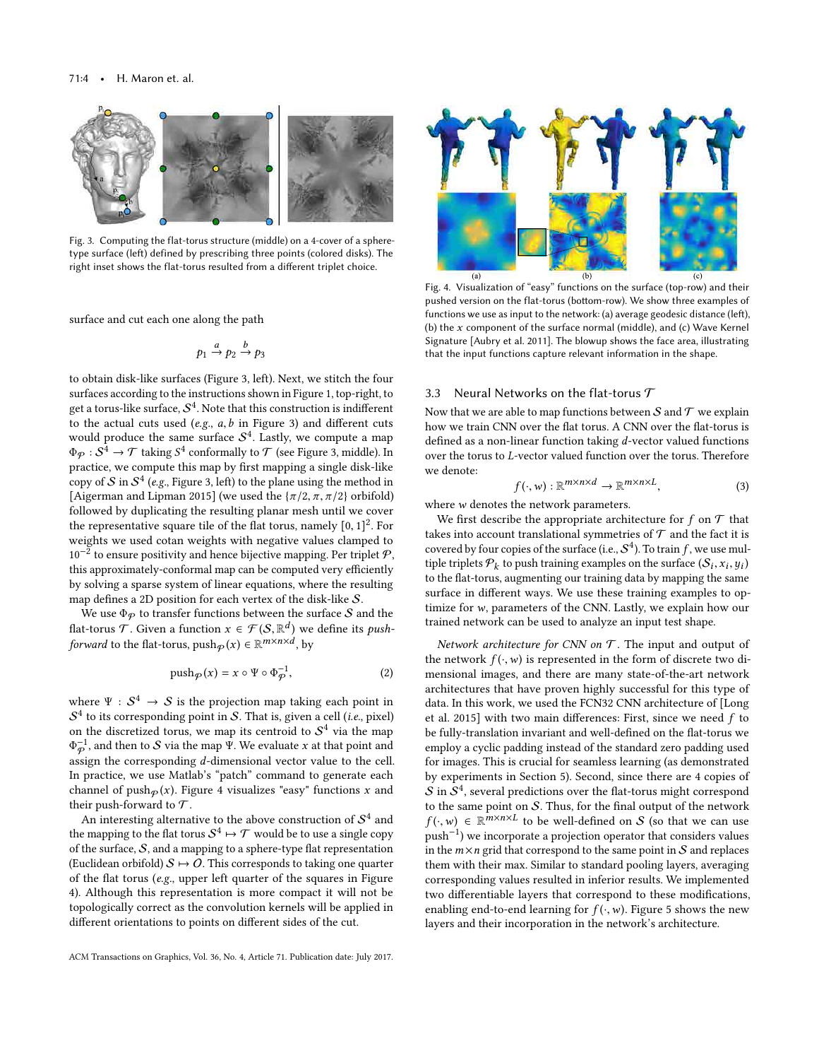#### 71:4 • H. Maron et. al.



Fig. 3. Computing the flat-torus structure (middle) on a 4-cover of a spheretype surface (left) defined by prescribing three points (colored disks). The right inset shows the flat-torus resulted from a different triplet choice.

surface and cut each one along the path

$$
p_1 \xrightarrow{a} p_2 \xrightarrow{b} p_3
$$

to obtain disk-like surfaces (Figure 3, left). Next, we stitch the four surfaces according to the instructions shown in Figure 1, top-right, to get a torus-like surface,  $\mathcal{S}^4$ . Note that this construction is indifferent to the actual cuts used (e.g.,  $a, b$  in Figure 3) and different cuts would produce the same surface  $S<sup>4</sup>$ . Lastly, we compute a map  $\Phi_{\mathcal{P}}: \mathcal{S}^4 \to \mathcal{T}$  taking  $\mathcal{S}^4$  conformally to  $\mathcal{T}$  (see Figure 3, middle). In practice, we compute this map by first mapping a single disk-like practice, we compute this map by first mapping a single disk-like copy of  $\mathcal S$  in  $\mathcal S^4$  (e.g., Figure 3, left) to the plane using the method in [Aigerman and Lipman 2015] (we used the  $\{\pi/2, \pi, \pi/2\}$  orbifold) followed by duplicating the resulting planar mesh until we cover the representative square tile of the flat torus, namely  $[0, 1]^2$ . For weights we used cotan weights with negative values clanned to weights we used cotan weights with negative values clamped to  $10^{-2}$  to ensure positivity and hence bijective mapping. Per triplet  $P$ , this approximately-conformal map can be computed very efficiently by solving a sparse system of linear equations, where the resulting map defines a 2D position for each vertex of the disk-like S.

We use  $\Phi_P$  to transfer functions between the surface S and the flat-torus T. Given a function  $x \in \mathcal{F}(S, \mathbb{R}^d)$  we define its *push-*<br>forward to the flat torus, push- $(x) \in \mathbb{R}^{m \times n \times d}$  by forward to the flat-torus,  $\text{push}_{\mathcal{P}}(x) \in \mathbb{R}^{m \times n \times d}$ , by

$$
\mathrm{push}_{\mathcal{P}}(x) = x \circ \Psi \circ \Phi_{\mathcal{P}}^{-1},\tag{2}
$$

where  $\Psi : S^4 \to S$  is the projection map taking each point in  $S^4$  to its corresponding point in  $S$ . That is, given a call (i.e. pixel)  $\mathcal{S}^4$  to its corresponding point in  $\mathcal{S}.$  That is, given a cell (*i.e.*, pixel) on the discretized torus, we map its centroid to  $\mathcal{S}^4$  via the map  $\Phi_{\rm p}$ ), such a strong terms of the corresponding d-dimensional vector value to the cell.<br>In practice, we use Matlab's "patch" command to generate each  $^{-1}_{\mathcal{P}}$ , and then to *S* via the map Ψ. We evaluate x at that point and series the corresponding *d* dimensional vector value to the call In practice, we use Matlab's "patch" command to generate each channel of push $\varphi(x)$ . Figure 4 visualizes "easy" functions x and their push-forward to  $\mathcal T$ .

An interesting alternative to the above construction of  $\mathcal{S}^4$  and the mapping to the flat torus  $\mathcal{S}^4\mapsto\mathcal{T}$  would be to use a single copy of the surface,  $S$ , and a mapping to a sphere-type flat representation (Euclidean orbifold)  $S \mapsto O$ . This corresponds to taking one quarter of the flat torus (e.g., upper left quarter of the squares in Figure 4). Although this representation is more compact it will not be topologically correct as the convolution kernels will be applied in different orientations to points on different sides of the cut.



Fig. 4. Visualization of "easy" functions on the surface (top-row) and their pushed version on the flat-torus (bottom-row). We show three examples of functions we use as input to the network: (a) average geodesic distance (left), (b) the  $x$  component of the surface normal (middle), and (c) Wave Kernel Signature [Aubry et al. 2011]. The blowup shows the face area, illustrating that the input functions capture relevant information in the shape.

#### 3.3 Neural Networks on the flat-torus  $\mathcal T$

Now that we are able to map functions between  $\mathcal S$  and  $\mathcal T$  we explain how we train CNN over the flat torus. A CNN over the flat-torus is defined as a non-linear function taking d-vector valued functions over the torus to L-vector valued function over the torus. Therefore we denote:

$$
f(\cdot, w) : \mathbb{R}^{m \times n \times d} \to \mathbb{R}^{m \times n \times L},
$$
\n(3)

where  $w$  denotes the network parameters.<br>We first describe the appropriate archi-

We first describe the appropriate architecture for  $f$  on  ${\mathcal T}$  that takes into account translational symmetries of  ${\mathcal T}$  and the fact it is covered by four copies of the surface (i.e.,  $S^4$ ). To train f, we use multiple triplets  $P_1$ , to push training examples on the surface  $(S_1, S_2, u_1)$ tiple triplets  $\mathcal{P}_k$  to push training examples on the surface  $(\mathcal{S}_i)$ <br>to the flat-torus, augmenting our training data by manning the to the flat-torus, augmenting our training data by mapping the same surface in different ways. We use these training examples to optimize for <sup>w</sup>, parameters of the CNN. Lastly, we explain how our trained network can be used to analyze an input test shape.

Network architecture for CNN on  $T$ . The input and output of the network  $f(\cdot, w)$  is represented in the form of discrete two dimensional images, and there are many state-of-the-art network architectures that have proven highly successful for this type of data. In this work, we used the FCN32 CNN architecture of [Long et al. 2015] with two main differences: First, since we need  $f$  to be fully-translation invariant and well-defined on the flat-torus we employ a cyclic padding instead of the standard zero padding used for images. This is crucial for seamless learning (as demonstrated by experiments in Section 5). Second, since there are 4 copies of  $\mathcal S$  in  $\mathcal S^4$ , several predictions over the flat-torus might correspond to the same point on  $S$ . Thus, for the final output of the network  $f(\cdot, w) \in \mathbb{R}^{m \times n \times L}$  to be well-defined on S (so that we can use<br>puch<sup>-1</sup>) we incorporate a projection operator that considers values push−<sup>1</sup> ) we incorporate a projection operator that considers values in the  $m \times n$  grid that correspond to the same point in S and replaces them with their max. Similar to standard pooling layers, averaging corresponding values resulted in inferior results. We implemented two differentiable layers that correspond to these modifications, enabling end-to-end learning for  $f(\cdot, w)$ . Figure 5 shows the new layers and their incorporation in the network's architecture.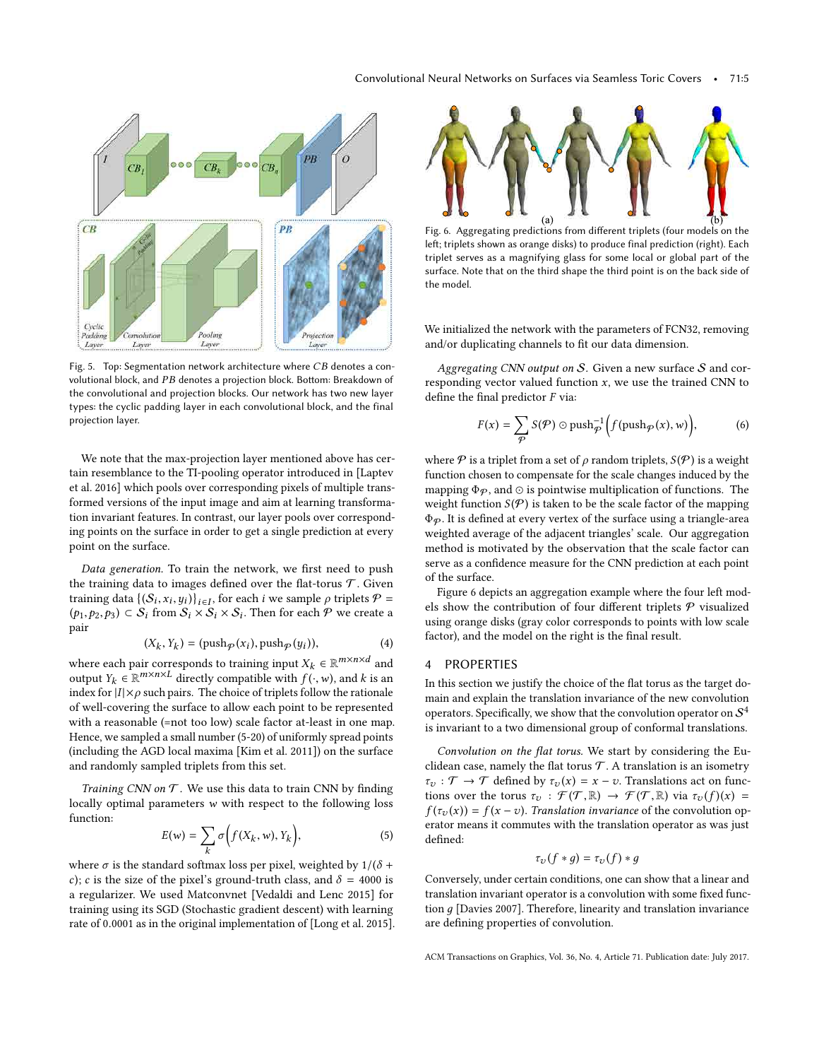

Fig. 5. Top: Segmentation network architecture where  $CB$  denotes a convolutional block, and PB denotes a projection block. Bottom: Breakdown of the convolutional and projection blocks. Our network has two new layer types: the cyclic padding layer in each convolutional block, and the final projection layer.

We note that the max-projection layer mentioned above has certain resemblance to the TI-pooling operator introduced in [Laptev et al. 2016] which pools over corresponding pixels of multiple transformed versions of the input image and aim at learning transformation invariant features. In contrast, our layer pools over corresponding points on the surface in order to get a single prediction at every point on the surface.

Data generation. To train the network, we first need to push the training data to images defined over the flat-torus  $\mathcal T$ . Given training data  $\{(S_i, x_i, y_i)\}_{i \in I}$ , for each *i* we sample  $\rho$  triplets  $P =$ <br>(b) for  $S_i$ , from  $S_i \times S_i \times S_j$ . Then for each  $P$  we create a training data  $\{(\mathcal{S}_i, x_i, y_i)\}_{i \in I}$ , for each t we sample  $\rho$  triplets  $\mathcal{S} = (p_1, p_2, p_3) \subset \mathcal{S}_i$  from  $\mathcal{S}_i \times \mathcal{S}_i \times \mathcal{S}_i$ . Then for each  $\mathcal{P}$  we create a pair

$$
(X_k, Y_k) = (\text{push}_{\mathcal{P}}(x_i), \text{push}_{\mathcal{P}}(y_i)),
$$
\n(4)

where each pair corresponds to training input  $X_k \in \mathbb{R}^{m \times n \times d}$  and  $k$  is an output  $V_k \in \mathbb{R}^{m \times n \times d}$  directly compatible with  $f(x, w)$  and  $k$  is an output  $Y_k \in \mathbb{R}^{m \times n \times L}$  directly compatible with  $f(\cdot, w)$ , and k is an index for  $|I| \times o$  such pairs. The choice of triplets follow the rationale index for  $|I| \times \rho$  such pairs. The choice of triplets follow the rationale of well-covering the surface to allow each point to be represented with a reasonable (=not too low) scale factor at-least in one map. Hence, we sampled a small number (5-20) of uniformly spread points (including the AGD local maxima [Kim et al. 2011]) on the surface and randomly sampled triplets from this set.

Training CNN on  $T$ . We use this data to train CNN by finding locally optimal parameters w with respect to the following loss function:

$$
E(w) = \sum_{k} \sigma\Big(f(X_k, w), Y_k\Big),\tag{5}
$$

where  $\sigma$  is the standard softmax loss per pixel, weighted by  $1/(\delta + \epsilon)$ ; e is the size of the pixel's ground-truth class, and  $\delta = 4000$  is c); c is the size of the pixel's ground-truth class, and  $\delta = 4000$  is a regularizer. We used Matconvnet [Vedaldi and Lenc 2015] for training using its SGD (Stochastic gradient descent) with learning rate of <sup>0</sup>.<sup>0001</sup> as in the original implementation of [Long et al. 2015].



Fig. 6. Aggregating predictions from different triplets (four models on the left; triplets shown as orange disks) to produce final prediction (right). Each triplet serves as a magnifying glass for some local or global part of the surface. Note that on the third shape the third point is on the back side of the model.

We initialized the network with the parameters of FCN32, removing and/or duplicating channels to fit our data dimension.

Aggregating CNN output on  $S$ . Given a new surface  $S$  and corresponding vector valued function  $x$ , we use the trained CNN to define the final predictor  $F$  via:

$$
F(x) = \sum_{\mathcal{P}} S(\mathcal{P}) \odot \text{push}_{\mathcal{P}}^{-1} \Big( f(\text{push}_{\mathcal{P}}(x), w) \Big), \tag{6}
$$

where  $P$  is a triplet from a set of  $\rho$  random triplets,  $S(P)$  is a weight function chosen to compensate for the scale changes induced by the mapping  $\Phi_{\mathcal{P}}$ , and  $\odot$  is pointwise multiplication of functions. The weight function  $S(\mathcal{P})$  is taken to be the scale factor of the mapping  $\Phi_{\mathcal{P}}$ . It is defined at every vertex of the surface using a triangle-area weighted average of the adjacent triangles' scale. Our aggregation method is motivated by the observation that the scale factor can serve as a confidence measure for the CNN prediction at each point of the surface.

Figure 6 depicts an aggregation example where the four left models show the contribution of four different triplets  $P$  visualized using orange disks (gray color corresponds to points with low scale factor), and the model on the right is the final result.

## 4 PROPERTIES

In this section we justify the choice of the flat torus as the target domain and explain the translation invariance of the new convolution operators. Specifically, we show that the convolution operator on  $\mathcal{S}^4$ is invariant to a two dimensional group of conformal translations.

Convolution on the flat torus. We start by considering the Euclidean case, namely the flat torus  $\mathcal T$ . A translation is an isometry  $\tau_v : \mathcal{T} \to \mathcal{T}$  defined by  $\tau_v(x) = x - v$ . Translations act on functions over the torus  $\tau_v : \mathcal{F}(\mathcal{T}, \mathbb{R}) \to \mathcal{F}(\mathcal{T}, \mathbb{R})$  via  $\tau_v(f)(x) =$  $f(\tau_v(x)) = f(x - v)$ . Translation invariance of the convolution operator means it commutes with the translation operator as was just defined:

$$
\tau_{\nu}(f*g)=\tau_{\nu}(f)*g
$$

Conversely, under certain conditions, one can show that a linear and translation invariant operator is a convolution with some fixed function д [Davies 2007]. Therefore, linearity and translation invariance are defining properties of convolution.

ACM Transactions on Graphics, Vol. 36, No. 4, Article 71. Publication date: July 2017.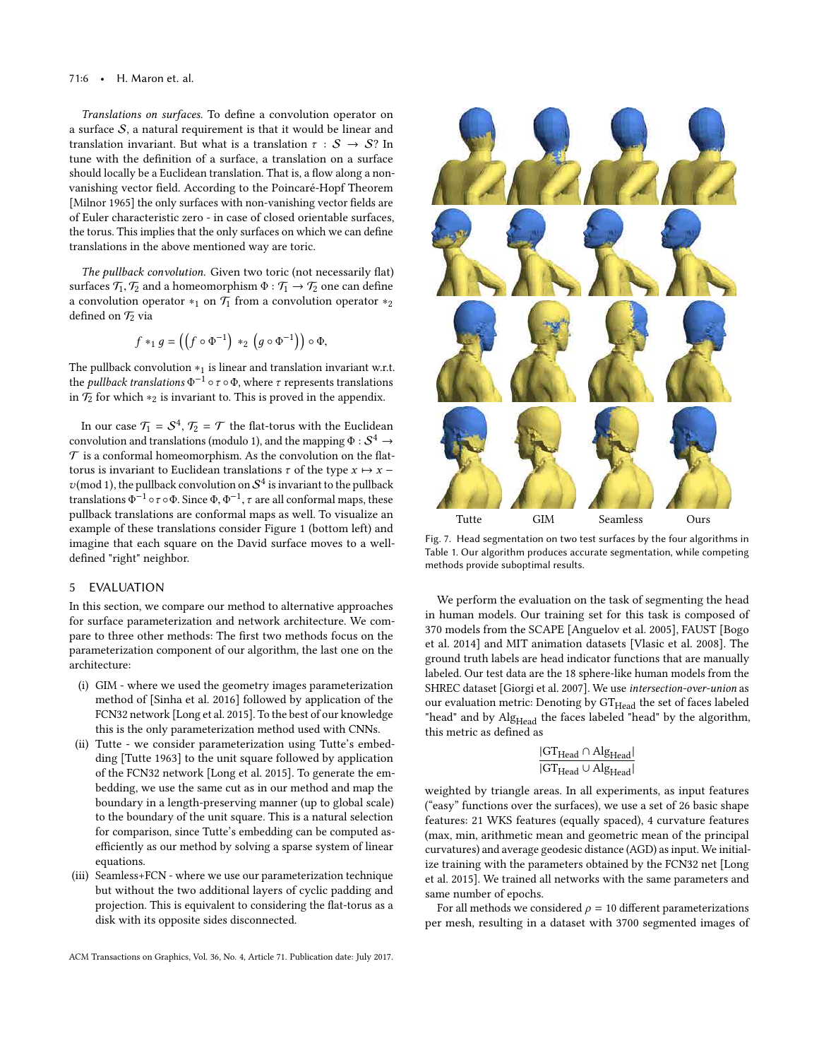#### 71:6 • H. Maron et. al.

Translations on surfaces. To define a convolution operator on a surface  $S$ , a natural requirement is that it would be linear and translation invariant. But what is a translation  $\tau : \mathcal{S} \to \mathcal{S}$ ? In tune with the definition of a surface, a translation on a surface should locally be a Euclidean translation. That is, a flow along a nonvanishing vector field. According to the Poincaré-Hopf Theorem [Milnor 1965] the only surfaces with non-vanishing vector fields are of Euler characteristic zero - in case of closed orientable surfaces, the torus. This implies that the only surfaces on which we can define translations in the above mentioned way are toric.

The pullback convolution. Given two toric (not necessarily flat) surfaces  $\mathcal{T}_1, \mathcal{T}_2$  and a homeomorphism  $\Phi : \mathcal{T}_1 \to \mathcal{T}_2$  one can define a convolution operator  $*_1$  on  $\mathcal{T}_1$  from a convolution operator  $*_2$ defined on  $\mathcal{T}_2$  via

$$
f *_{1} g = ((f \circ \Phi^{-1}) *_{2} (g \circ \Phi^{-1})) \circ \Phi,
$$

The pullback convolution  $*_1$  is linear and translation invariant w.r.t. the *pullback translations*  $\Phi^{-1} \circ \tau \circ \Phi$ , where  $\tau$  represents translations<br>in  $\mathcal{F}_0$  for which  $\star_0$  is invariant to This is proved in the appendix in  $\mathcal{T}_2$  for which  $*_2$  is invariant to. This is proved in the appendix.

In our case  $\mathcal{T}_1 = \mathcal{S}^4$ ,  $\mathcal{T}_2 = \mathcal{T}$  the flat-torus with the Euclidean convolution and translations (modulo 1), and the mapping  $\Phi : \mathcal{S}^4 \to \mathcal{T}$  is a conformal homeomorphism. As the convolution on the flat.  $\mathcal T$  is a conformal homeomorphism. As the convolution on the flattorus is invariant to Euclidean translations  $\tau$  of the type  $x \mapsto x$  −  $v(\text{mod }1)$ , the pullback convolution on  $S^4$  is invariant to the pullback<br>translations  $\Phi^{-1}$  or on Since  $\Phi^{-1}$ , a are all conformal mans, these translations  $\Phi^{-1} \circ \tau \circ \Phi$ . Since  $\Phi$ ,  $\Phi^{-1}$ ,  $\tau$  are all conformal maps, these<br>pullbock translations are conformal maps as well. To visualize an pullback translations are conformal maps as well. To visualize an example of these translations consider Figure 1 (bottom left) and imagine that each square on the David surface moves to a welldefined "right" neighbor.

## 5 EVALUATION

In this section, we compare our method to alternative approaches for surface parameterization and network architecture. We compare to three other methods: The first two methods focus on the parameterization component of our algorithm, the last one on the architecture:

- (i) GIM where we used the geometry images parameterization method of [Sinha et al. 2016] followed by application of the FCN32 network [Long et al. 2015]. To the best of our knowledge this is the only parameterization method used with CNNs.
- (ii) Tutte we consider parameterization using Tutte's embedding [Tutte 1963] to the unit square followed by application of the FCN32 network [Long et al. 2015]. To generate the embedding, we use the same cut as in our method and map the boundary in a length-preserving manner (up to global scale) to the boundary of the unit square. This is a natural selection for comparison, since Tutte's embedding can be computed asefficiently as our method by solving a sparse system of linear equations.
- (iii) Seamless+FCN where we use our parameterization technique but without the two additional layers of cyclic padding and projection. This is equivalent to considering the flat-torus as a disk with its opposite sides disconnected.



Fig. 7. Head segmentation on two test surfaces by the four algorithms in Table 1. Our algorithm produces accurate segmentation, while competing methods provide suboptimal results.

We perform the evaluation on the task of segmenting the head in human models. Our training set for this task is composed of 370 models from the SCAPE [Anguelov et al. 2005], FAUST [Bogo et al. 2014] and MIT animation datasets [Vlasic et al. 2008]. The ground truth labels are head indicator functions that are manually labeled. Our test data are the 18 sphere-like human models from the SHREC dataset [Giorgi et al. 2007]. We use intersection-over-union as our evaluation metric: Denoting by  $GT_{Head}$  the set of faces labeled "head" and by Alg<sub>Head</sub> the faces labeled "head" by the algorithm, this metric as defined as

$$
\frac{|GT_{Head} \cap Alg_{Head}|}{|GT_{Head} \cup Alg_{Head}|}
$$

weighted by triangle areas. In all experiments, as input features ("easy" functions over the surfaces), we use a set of 26 basic shape features: 21 WKS features (equally spaced), 4 curvature features (max, min, arithmetic mean and geometric mean of the principal curvatures) and average geodesic distance (AGD) as input. We initialize training with the parameters obtained by the FCN32 net [Long et al. 2015]. We trained all networks with the same parameters and same number of epochs.

For all methods we considered  $\rho = 10$  different parameterizations per mesh, resulting in a dataset with 3700 segmented images of

ACM Transactions on Graphics, Vol. 36, No. 4, Article 71. Publication date: July 2017.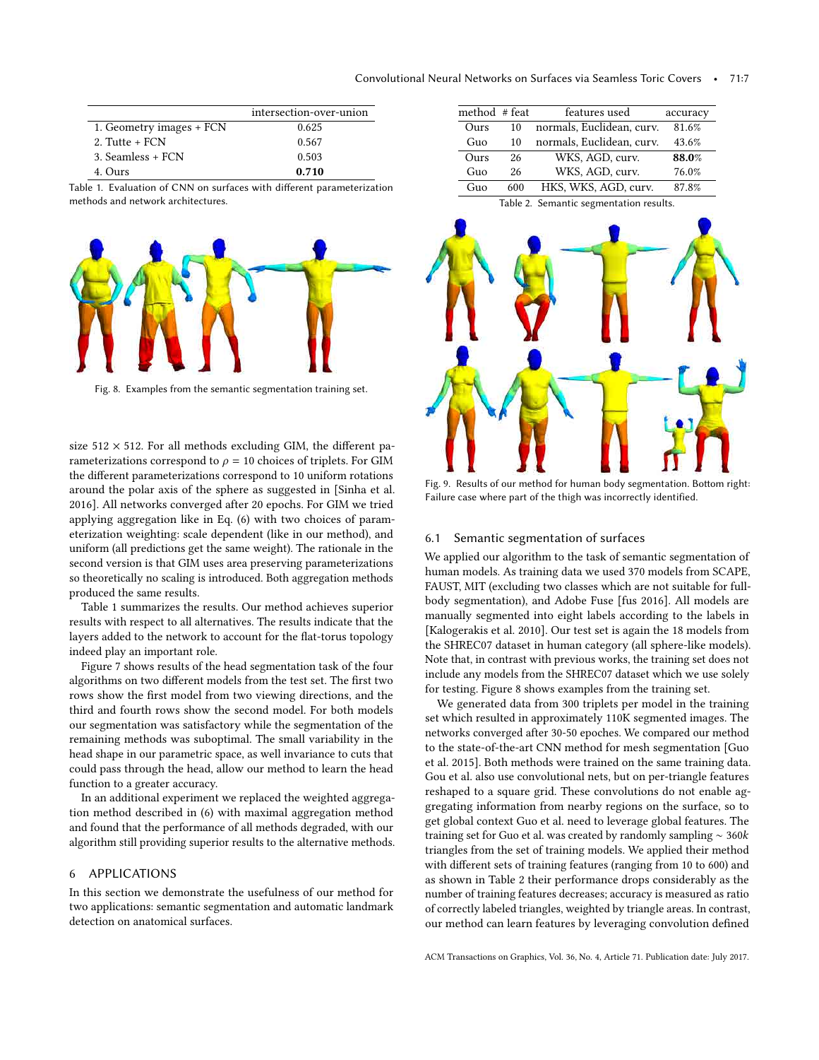|                          | intersection-over-union |
|--------------------------|-------------------------|
| 1. Geometry images + FCN | 0.625                   |
| $2.$ Tutte + FCN         | 0.567                   |
| 3. Seamless + FCN        | 0.503                   |
| 4. Ours                  | 0.710                   |

Table 1. Evaluation of CNN on surfaces with different parameterization methods and network architectures.

| method #feat |     | features used             | accuracy |
|--------------|-----|---------------------------|----------|
| Ours         | 10  | normals, Euclidean, curv. | 81.6%    |
| Guo          | 10  | normals, Euclidean, curv. | 43.6%    |
| Ours         | 26  | WKS, AGD, curv.           | 88.0%    |
| Guo          | 26  | WKS, AGD, curv.           | 76.0%    |
| Guo          | 600 | HKS, WKS, AGD, curv.      | 87.8%    |
|              |     |                           |          |

Table 2. Semantic segmentation results.



Fig. 8. Examples from the semantic segmentation training set.

eterization weighting: scale dependent (like in our method), and size  $512 \times 512$ . For all methods excluding GIM, the different parameterizations correspond to  $\rho = 10$  choices of triplets. For GIM the different parameterizations correspond to 10 uniform rotations around the polar axis of the sphere as suggested in [Sinha et al. 2016]. All networks converged after 20 epochs. For GIM we tried applying aggregation like in Eq. (6) with two choices of paramuniform (all predictions get the same weight). The rationale in the second version is that GIM uses area preserving parameterizations so theoretically no scaling is introduced. Both aggregation methods produced the same results.

Table 1 summarizes the results. Our method achieves superior results with respect to all alternatives. The results indicate that the layers added to the network to account for the flat-torus topology indeed play an important role.

Figure 7 shows results of the head segmentation task of the four algorithms on two different models from the test set. The first two rows show the first model from two viewing directions, and the third and fourth rows show the second model. For both models our segmentation was satisfactory while the segmentation of the remaining methods was suboptimal. The small variability in the head shape in our parametric space, as well invariance to cuts that could pass through the head, allow our method to learn the head function to a greater accuracy.

In an additional experiment we replaced the weighted aggregation method described in (6) with maximal aggregation method and found that the performance of all methods degraded, with our algorithm still providing superior results to the alternative methods.

## 6 APPLICATIONS

In this section we demonstrate the usefulness of our method for two applications: semantic segmentation and automatic landmark detection on anatomical surfaces.

Fig. 9. Results of our method for human body segmentation. Bottom right: Failure case where part of the thigh was incorrectly identified.

## 6.1 Semantic segmentation of surfaces

We applied our algorithm to the task of semantic segmentation of human models. As training data we used 370 models from SCAPE, FAUST, MIT (excluding two classes which are not suitable for fullbody segmentation), and Adobe Fuse [fus 2016]. All models are manually segmented into eight labels according to the labels in [Kalogerakis et al. 2010]. Our test set is again the 18 models from the SHREC07 dataset in human category (all sphere-like models). Note that, in contrast with previous works, the training set does not include any models from the SHREC07 dataset which we use solely for testing. Figure 8 shows examples from the training set.

We generated data from 300 triplets per model in the training set which resulted in approximately 110K segmented images. The networks converged after 30-50 epoches. We compared our method to the state-of-the-art CNN method for mesh segmentation [Guo et al. 2015]. Both methods were trained on the same training data. Gou et al. also use convolutional nets, but on per-triangle features reshaped to a square grid. These convolutions do not enable aggregating information from nearby regions on the surface, so to get global context Guo et al. need to leverage global features. The training set for Guo et al. was created by randomly sampling <sup>∼</sup> <sup>360</sup>k triangles from the set of training models. We applied their method with different sets of training features (ranging from 10 to 600) and as shown in Table 2 their performance drops considerably as the number of training features decreases; accuracy is measured as ratio of correctly labeled triangles, weighted by triangle areas. In contrast, our method can learn features by leveraging convolution defined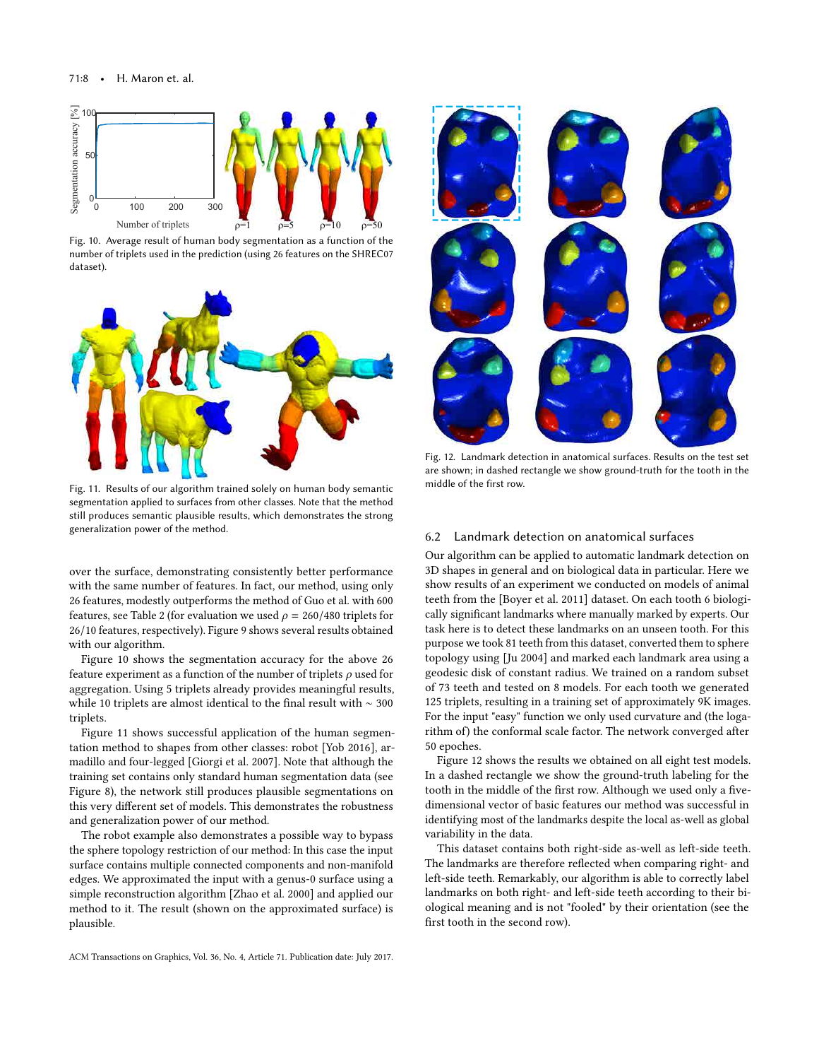

Fig. 10. Average result of human body segmentation as a function of the number of triplets used in the prediction (using 26 features on the SHREC07 dataset).



Fig. 11. Results of our algorithm trained solely on human body semantic segmentation applied to surfaces from other classes. Note that the method still produces semantic plausible results, which demonstrates the strong generalization power of the method.

over the surface, demonstrating consistently better performance with the same number of features. In fact, our method, using only 26 features, modestly outperforms the method of Guo et al. with 600 features, see Table 2 (for evaluation we used  $\rho = 260/480$  triplets for <sup>26</sup>/<sup>10</sup> features, respectively). Figure 9 shows several results obtained with our algorithm.

Figure 10 shows the segmentation accuracy for the above 26 feature experiment as a function of the number of triplets  $\rho$  used for aggregation. Using 5 triplets already provides meaningful results, while 10 triplets are almost identical to the final result with ∼ 300 triplets.

Figure 11 shows successful application of the human segmentation method to shapes from other classes: robot [Yob 2016], armadillo and four-legged [Giorgi et al. 2007]. Note that although the training set contains only standard human segmentation data (see Figure 8), the network still produces plausible segmentations on this very different set of models. This demonstrates the robustness and generalization power of our method.

The robot example also demonstrates a possible way to bypass the sphere topology restriction of our method: In this case the input surface contains multiple connected components and non-manifold edges. We approximated the input with a genus-0 surface using a simple reconstruction algorithm [Zhao et al. 2000] and applied our method to it. The result (shown on the approximated surface) is plausible.



Fig. 12. Landmark detection in anatomical surfaces. Results on the test set are shown; in dashed rectangle we show ground-truth for the tooth in the middle of the first row.

## 6.2 Landmark detection on anatomical surfaces

Our algorithm can be applied to automatic landmark detection on 3D shapes in general and on biological data in particular. Here we show results of an experiment we conducted on models of animal teeth from the [Boyer et al. 2011] dataset. On each tooth 6 biologically significant landmarks where manually marked by experts. Our task here is to detect these landmarks on an unseen tooth. For this purpose we took 81 teeth from this dataset, converted them to sphere topology using [Ju 2004] and marked each landmark area using a geodesic disk of constant radius. We trained on a random subset of 73 teeth and tested on 8 models. For each tooth we generated 125 triplets, resulting in a training set of approximately 9K images. For the input "easy" function we only used curvature and (the logarithm of) the conformal scale factor. The network converged after 50 epoches.

Figure 12 shows the results we obtained on all eight test models. In a dashed rectangle we show the ground-truth labeling for the tooth in the middle of the first row. Although we used only a fivedimensional vector of basic features our method was successful in identifying most of the landmarks despite the local as-well as global variability in the data.

This dataset contains both right-side as-well as left-side teeth. The landmarks are therefore reflected when comparing right- and left-side teeth. Remarkably, our algorithm is able to correctly label landmarks on both right- and left-side teeth according to their biological meaning and is not "fooled" by their orientation (see the first tooth in the second row).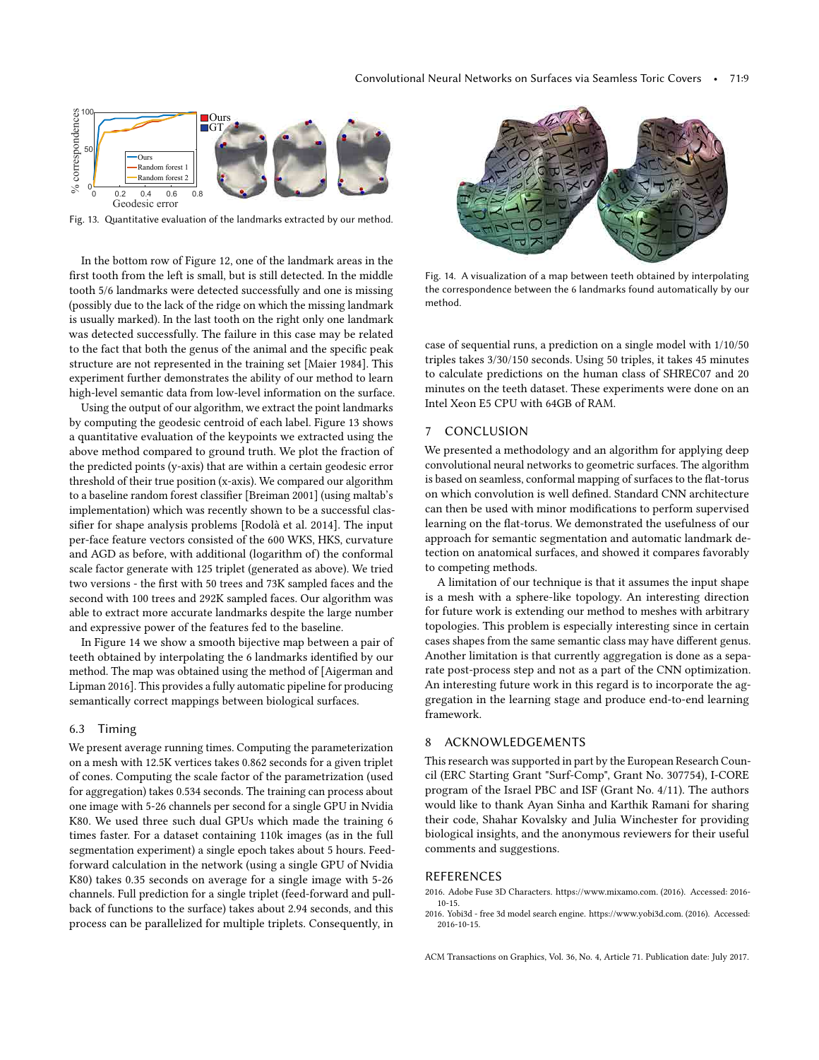

Fig. 13. Quantitative evaluation of the landmarks extracted by our method.

In the bottom row of Figure 12, one of the landmark areas in the first tooth from the left is small, but is still detected. In the middle tooth 5/6 landmarks were detected successfully and one is missing (possibly due to the lack of the ridge on which the missing landmark is usually marked). In the last tooth on the right only one landmark was detected successfully. The failure in this case may be related to the fact that both the genus of the animal and the specific peak structure are not represented in the training set [Maier 1984]. This experiment further demonstrates the ability of our method to learn high-level semantic data from low-level information on the surface.

Using the output of our algorithm, we extract the point landmarks by computing the geodesic centroid of each label. Figure 13 shows a quantitative evaluation of the keypoints we extracted using the above method compared to ground truth. We plot the fraction of the predicted points (y-axis) that are within a certain geodesic error threshold of their true position (x-axis). We compared our algorithm to a baseline random forest classifier [Breiman 2001] (using maltab's implementation) which was recently shown to be a successful classifier for shape analysis problems [Rodolà et al. 2014]. The input per-face feature vectors consisted of the 600 WKS, HKS, curvature and AGD as before, with additional (logarithm of) the conformal scale factor generate with 125 triplet (generated as above). We tried two versions - the first with 50 trees and 73K sampled faces and the second with 100 trees and 292K sampled faces. Our algorithm was able to extract more accurate landmarks despite the large number and expressive power of the features fed to the baseline.

In Figure 14 we show a smooth bijective map between a pair of teeth obtained by interpolating the 6 landmarks identified by our method. The map was obtained using the method of [Aigerman and Lipman 2016]. This provides a fully automatic pipeline for producing semantically correct mappings between biological surfaces.

## 6.3 Timing

We present average running times. Computing the parameterization on a mesh with 12.5K vertices takes 0.862 seconds for a given triplet of cones. Computing the scale factor of the parametrization (used for aggregation) takes 0.534 seconds. The training can process about one image with 5-26 channels per second for a single GPU in Nvidia K80. We used three such dual GPUs which made the training 6 times faster. For a dataset containing 110k images (as in the full segmentation experiment) a single epoch takes about 5 hours. Feedforward calculation in the network (using a single GPU of Nvidia K80) takes 0.35 seconds on average for a single image with 5-26 channels. Full prediction for a single triplet (feed-forward and pullback of functions to the surface) takes about 2.94 seconds, and this process can be parallelized for multiple triplets. Consequently, in



Fig. 14. A visualization of a map between teeth obtained by interpolating the correspondence between the 6 landmarks found automatically by our method.

case of sequential runs, a prediction on a single model with 1/10/50 triples takes 3/30/150 seconds. Using 50 triples, it takes 45 minutes to calculate predictions on the human class of SHREC07 and 20 minutes on the teeth dataset. These experiments were done on an Intel Xeon E5 CPU with 64GB of RAM.

#### 7 CONCLUSION

We presented a methodology and an algorithm for applying deep convolutional neural networks to geometric surfaces. The algorithm is based on seamless, conformal mapping of surfaces to the flat-torus on which convolution is well defined. Standard CNN architecture can then be used with minor modifications to perform supervised learning on the flat-torus. We demonstrated the usefulness of our approach for semantic segmentation and automatic landmark detection on anatomical surfaces, and showed it compares favorably to competing methods.

A limitation of our technique is that it assumes the input shape is a mesh with a sphere-like topology. An interesting direction for future work is extending our method to meshes with arbitrary topologies. This problem is especially interesting since in certain cases shapes from the same semantic class may have different genus. Another limitation is that currently aggregation is done as a separate post-process step and not as a part of the CNN optimization. An interesting future work in this regard is to incorporate the aggregation in the learning stage and produce end-to-end learning framework.

## 8 ACKNOWLEDGEMENTS

This research was supported in part by the European Research Council (ERC Starting Grant "Surf-Comp", Grant No. 307754), I-CORE program of the Israel PBC and ISF (Grant No. 4/11). The authors would like to thank Ayan Sinha and Karthik Ramani for sharing their code, Shahar Kovalsky and Julia Winchester for providing biological insights, and the anonymous reviewers for their useful comments and suggestions.

## REFERENCES

- 2016. Adobe Fuse 3D Characters. https://www.mixamo.com. (2016). Accessed: 2016- 10-15.
- 2016. Yobi3d free 3d model search engine. https://www.yobi3d.com. (2016). Accessed: 2016-10-15.